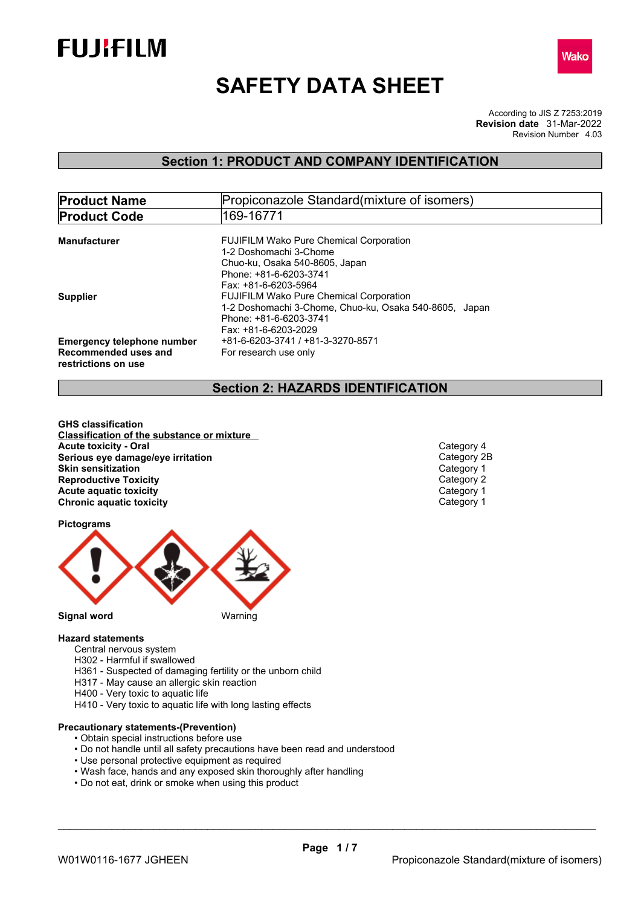



# **SAFETY DATA SHEET**

According to JIS Z 7253:2019 Revision Number 4.03 **Revision date** 31-Mar-2022

## **Section 1: PRODUCT AND COMPANY IDENTIFICATION**

| <b>Product Name</b>               | Propiconazole Standard (mixture of isomers)            |
|-----------------------------------|--------------------------------------------------------|
| <b>Product Code</b>               | 169-16771                                              |
|                                   |                                                        |
| Manufacturer                      | <b>FUJIFILM Wako Pure Chemical Corporation</b>         |
|                                   | 1-2 Doshomachi 3-Chome                                 |
|                                   | Chuo-ku, Osaka 540-8605, Japan                         |
|                                   | Phone: +81-6-6203-3741                                 |
|                                   | Fax: +81-6-6203-5964                                   |
| <b>Supplier</b>                   | <b>FUJIFILM Wako Pure Chemical Corporation</b>         |
|                                   | 1-2 Doshomachi 3-Chome, Chuo-ku, Osaka 540-8605, Japan |
|                                   | Phone: +81-6-6203-3741                                 |
|                                   | Fax: +81-6-6203-2029                                   |
| <b>Emergency telephone number</b> | +81-6-6203-3741 / +81-3-3270-8571                      |
| Recommended uses and              | For research use only                                  |
| restrictions on use               |                                                        |
|                                   |                                                        |

## **Section 2: HAZARDS IDENTIFICATION**

**GHS classification Classification of the substance or mixture Acute toxicity - Oral** Category 4 **Serious eye damage/eye irritation**<br> **Skin sensitization**<br>
Category 1 **Skin sensitization**<br> **Reproductive Toxicity**<br> **Reproductive Toxicity**<br>
Category 2 **Reproductive Toxicity**<br> **Acute aquatic toxicity**<br> **Acute aquatic toxicity Acute** aquatic toxicity **Category 1**<br> **Chronic aquatic toxicity** Chronic aquatic toxicity **Category 1 Chronic aquatic toxicity** 

#### **Pictograms**



### **Hazard statements**

- Central nervous system
- H302 Harmful if swallowed
- H361 Suspected of damaging fertility or the unborn child
- H317 May cause an allergic skin reaction
- H400 Very toxic to aquatic life
- H410 Very toxic to aquatic life with long lasting effects

#### **Precautionary statements-(Prevention)**

- Obtain special instructions before use
- Do not handle until all safety precautions have been read and understood
- Use personal protective equipment as required
- Wash face, hands and any exposed skin thoroughly after handling
- Do not eat, drink or smoke when using this product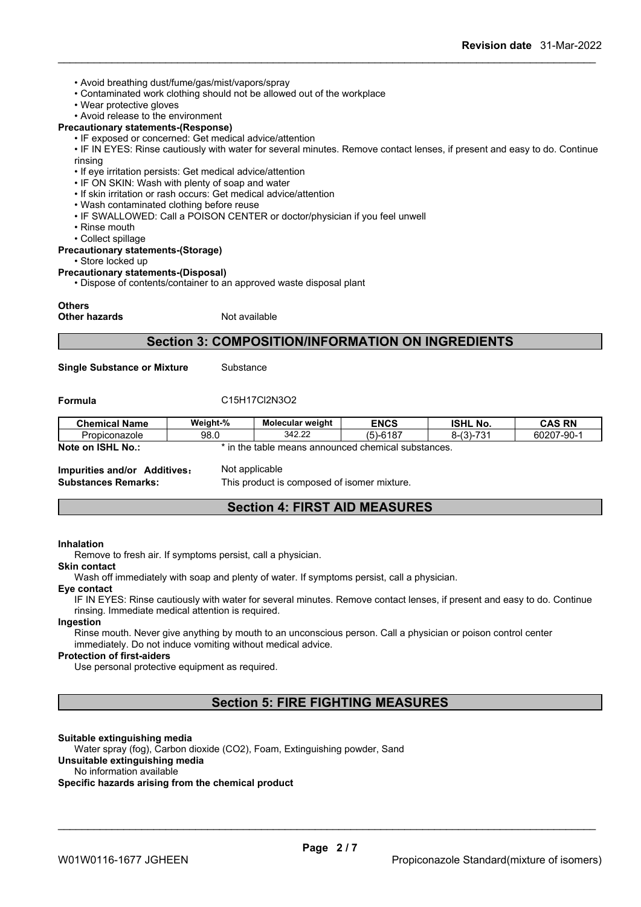- Avoid breathing dust/fume/gas/mist/vapors/spray
- Contaminated work clothing should not be allowed out of the workplace
- Wear protective gloves

## • Avoid release to the environment

#### **Precautionary statements-(Response)**

• IF exposed or concerned: Get medical advice/attention

• IF IN EYES: Rinse cautiously with water for several minutes. Remove contact lenses, if present and easy to do. Continue rinsing

- If eye irritation persists: Get medical advice/attention
- IF ON SKIN: Wash with plenty of soap and water
- If skin irritation or rash occurs: Get medical advice/attention
- Wash contaminated clothing before reuse
- IF SWALLOWED: Call a POISON CENTER or doctor/physician if you feel unwell
- Rinse mouth
- Collect spillage

#### **Precautionary statements-(Storage)**

• Store locked up

**Precautionary statements-(Disposal)**

• Dispose of contents/container to an approved waste disposal plant

#### **Others**

**Other hazards** Not available

## **Section 3: COMPOSITION/INFORMATION ON INGREDIENTS**

**Single Substance or Mixture** Substance

#### **Formula** C15H17Cl2N3O2

| <b>Chemical Name</b> | Weight-%                                                  | <b>Molecular weight</b> | <b>ENCS</b> | <b>ISHL No.</b>              | <b>CAS RN</b> |
|----------------------|-----------------------------------------------------------|-------------------------|-------------|------------------------------|---------------|
| Propiconazole        | 98.0                                                      | 342.22                  | $(5)-6187$  | 721<br>(2)<br>5-131-7<br>. ن | 60207-90-1    |
| Note on ISHL No.:    | the<br>in<br>e table means announced chemical substances. |                         |             |                              |               |

**Impurities and/or Additives:** Not applicable

**Substances Remarks:** This product is composed of isomer mixture.

## **Section 4: FIRST AID MEASURES**

#### **Inhalation**

Remove to fresh air. If symptoms persist, call a physician.

#### **Skin contact**

Wash off immediately with soap and plenty of water. If symptoms persist, call a physician.

#### **Eye contact**

IF IN EYES: Rinse cautiously with water for several minutes. Remove contact lenses, if present and easy to do. Continue rinsing. Immediate medical attention is required.

#### **Ingestion**

Rinse mouth. Never give anything by mouth to an unconscious person. Call a physician or poison control center immediately. Do not induce vomiting without medical advice.

#### **Protection of first-aiders**

Use personal protective equipment as required.

## **Section 5: FIRE FIGHTING MEASURES**

#### **Suitable extinguishing media**

Water spray (fog), Carbon dioxide (CO2), Foam, Extinguishing powder, Sand

#### **Unsuitable extinguishing media**

No information available

## **Specific hazards arising from the chemical product**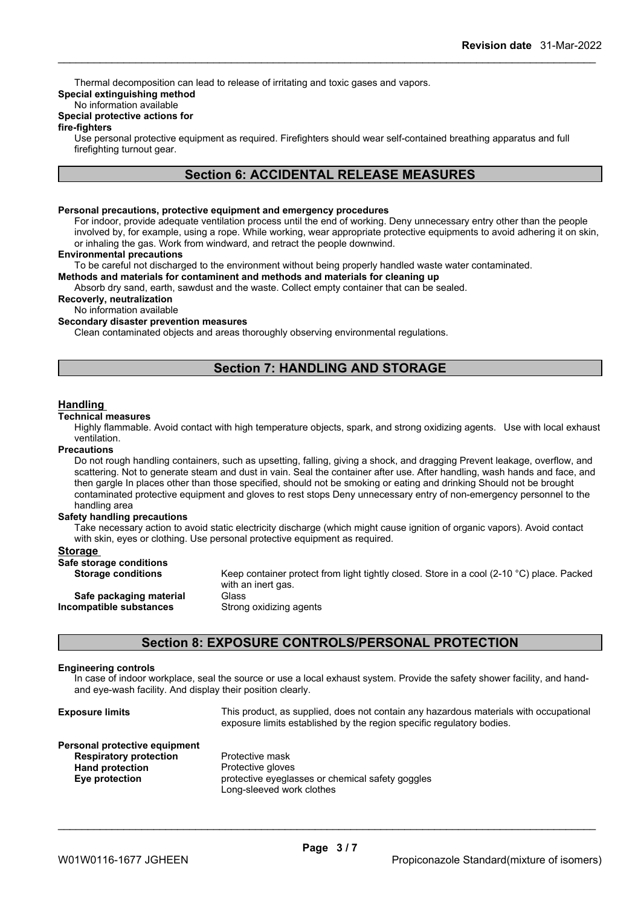Thermal decomposition can lead to release of irritating and toxic gases and vapors.

## **Special extinguishing method**

## No information available

## **Special protective actions for**

### **fire-fighters**

Use personal protective equipment as required.Firefighters should wear self-contained breathing apparatus and full firefighting turnout gear.

## **Section 6: ACCIDENTAL RELEASE MEASURES**

#### **Personal precautions, protective equipment and emergency procedures**

For indoor, provide adequate ventilation process until the end of working. Deny unnecessary entry other than the people involved by, for example, using a rope. While working, wear appropriate protective equipments to avoid adhering it on skin, or inhaling the gas. Work from windward, and retract the people downwind.

#### **Environmental precautions**

To be careful not discharged to the environment without being properly handled waste water contaminated.

#### **Methods and materials for contaminent and methods and materials for cleaning up**

Absorb dry sand, earth, sawdust and the waste. Collect empty container that can be sealed.

**Recoverly, neutralization**

No information available

#### **Secondary disaster prevention measures**

Clean contaminated objects and areas thoroughly observing environmental regulations.

## **Section 7: HANDLING AND STORAGE**

#### **Handling**

#### **Technical measures**

Highly flammable. Avoid contact with high temperature objects, spark, and strong oxidizing agents. Use with local exhaust ventilation.

#### **Precautions**

Do not rough handling containers, such as upsetting, falling, giving a shock, and dragging Prevent leakage, overflow, and scattering. Not to generate steam and dust in vain. Seal the container after use. After handling, wash hands and face, and then gargle In places other than those specified, should not be smoking or eating and drinking Should not be brought contaminated protective equipment and gloves to rest stops Deny unnecessary entry of non-emergency personnel to the handling area

#### **Safety handling precautions**

Take necessary action to avoid static electricity discharge (which might cause ignition of organic vapors). Avoid contact with skin, eyes or clothing. Use personal protective equipment as required.

#### **Storage**

| Safe storage conditions   |                                                                                                     |
|---------------------------|-----------------------------------------------------------------------------------------------------|
| <b>Storage conditions</b> | Keep container protect from light tightly closed. Store in a cool (2-10 $^{\circ}$ C) place. Packed |
|                           | with an inert gas.                                                                                  |
| Safe packaging material   | Glass                                                                                               |
| Incompatible substances   | Strong oxidizing agents                                                                             |
|                           |                                                                                                     |

## **Section 8: EXPOSURE CONTROLS/PERSONAL PROTECTION**

#### **Engineering controls**

In case of indoorworkplace, seal the source or use a local exhaust system. Provide the safety shower facility, and hand and eye-wash facility. And display their position clearly.

| <b>Exposure limits</b>                                         | This product, as supplied, does not contain any hazardous materials with occupational<br>exposure limits established by the region specific regulatory bodies. |
|----------------------------------------------------------------|----------------------------------------------------------------------------------------------------------------------------------------------------------------|
| Personal protective equipment<br><b>Respiratory protection</b> | Protective mask                                                                                                                                                |
| <b>Hand protection</b><br>Eye protection                       | Protective gloves<br>protective eyeglasses or chemical safety googles<br>Long-sleeved work clothes                                                             |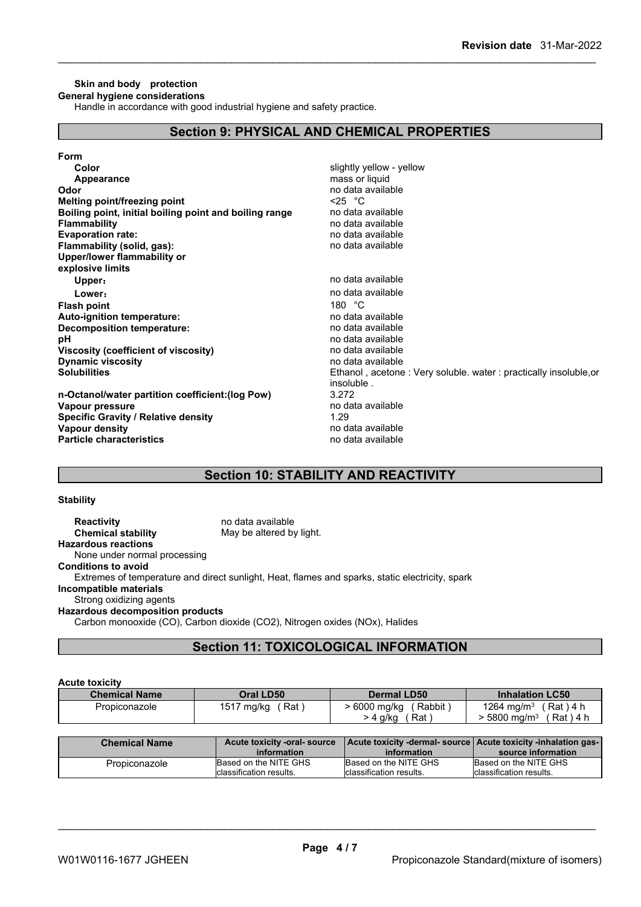#### **Skin and body protection General hygiene considerations**

Handle in accordance with good industrial hygiene and safety practice.

## **Section 9: PHYSICAL AND CHEMICAL PROPERTIES**

| Color                                                  | slightly yellow - yellow                                         |
|--------------------------------------------------------|------------------------------------------------------------------|
| Appearance                                             | mass or liquid                                                   |
| Odor                                                   | no data available                                                |
| Melting point/freezing point                           | $\leq$ 25 °C                                                     |
| Boiling point, initial boiling point and boiling range | no data available                                                |
| <b>Flammability</b>                                    | no data available                                                |
| <b>Evaporation rate:</b>                               | no data available                                                |
| Flammability (solid, gas):                             | no data available                                                |
| Upper/lower flammability or                            |                                                                  |
| explosive limits                                       |                                                                  |
| Upper:                                                 | no data available                                                |
| Lower:                                                 | no data available                                                |
| <b>Flash point</b>                                     | 180 $°C$                                                         |
| <b>Auto-ignition temperature:</b>                      | no data available                                                |
| Decomposition temperature:                             | no data available                                                |
| рH                                                     | no data available                                                |
| Viscosity (coefficient of viscosity)                   | no data available                                                |
| <b>Dynamic viscosity</b>                               | no data available                                                |
| <b>Solubilities</b>                                    | Ethanol, acetone: Very soluble. water: practically insoluble, or |
|                                                        | insoluble.                                                       |
| n-Octanol/water partition coefficient: (log Pow)       | 3.272                                                            |
| Vapour pressure                                        | no data available                                                |
| <b>Specific Gravity / Relative density</b>             | 1.29                                                             |
| Vapour density                                         | no data available                                                |
| <b>Particle characteristics</b>                        | no data available                                                |
|                                                        |                                                                  |

## **Section 10: STABILITY AND REACTIVITY**

#### **Stability**

**Reactivity** no data available<br> **Chemical stability** May be altered by May be altered by light. **Hazardous reactions** None under normal processing **Conditions to avoid** Extremes of temperature and direct sunlight, Heat, flames and sparks, static electricity, spark **Incompatible materials** Strong oxidizing agents **Hazardous decomposition products** Carbon monooxide (CO), Carbon dioxide (CO2), Nitrogen oxides (NOx), Halides

## **Section 11: TOXICOLOGICAL INFORMATION**

#### **Acute toxicity**

| .                    |                   |                        |                                      |
|----------------------|-------------------|------------------------|--------------------------------------|
| <b>Chemical Name</b> | Oral LD50         | <b>Dermal LD50</b>     | <b>Inhalation LC50</b>               |
| Propiconazole        | 1517 mg/kg<br>Rat | Rabbit<br>> 6000 mg/kg | 1264 mg/m <sup>3</sup><br>(Rat ) 4 h |
|                      |                   | Rat<br>· 4 g/kg        | $\cdot$ 5800 ma/m $^3$<br>(Rat)4 h   |

| <b>Chemical Name</b> | Acute toxicity -oral-source<br>information | Acute toxicity -dermal- source   Acute toxicity -inhalation gas-<br>information | source information       |
|----------------------|--------------------------------------------|---------------------------------------------------------------------------------|--------------------------|
| Propiconazole        | Based on the NITE GHS                      | Based on the NITE GHS                                                           | Based on the NITE GHS    |
|                      | Iclassification results.                   | Iclassification results.                                                        | lclassification results. |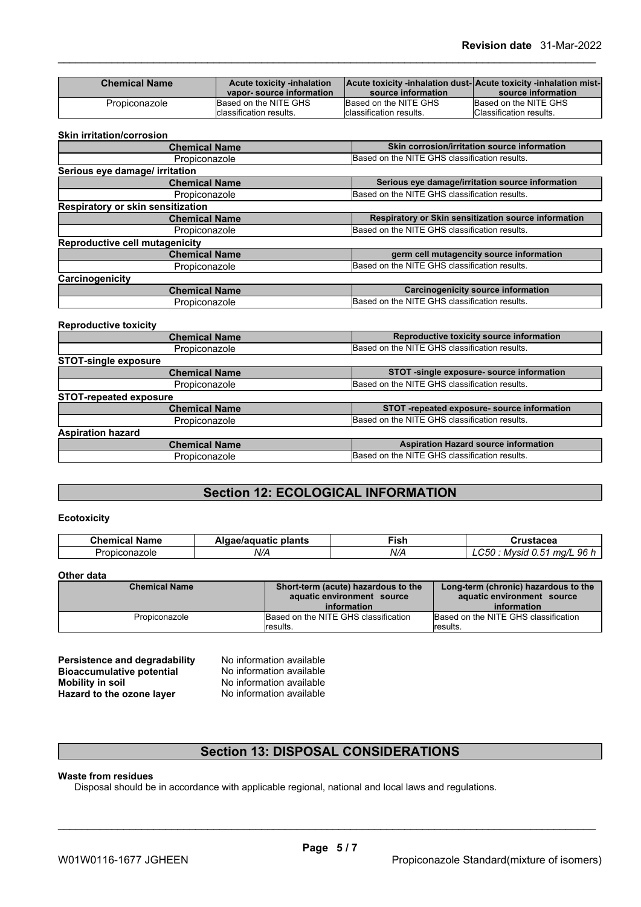| <b>Chemical Name</b> | <b>Acute toxicity -inhalation</b><br>vapor-source information | Acute toxicity -inhalation dust-  Acute toxicity -inhalation mist-<br>source information | source information      |
|----------------------|---------------------------------------------------------------|------------------------------------------------------------------------------------------|-------------------------|
| Propiconazole        | Based on the NITE GHS                                         | Based on the NITE GHS                                                                    | Based on the NITE GHS   |
|                      | Iclassification results.                                      | Iclassification results.                                                                 | Classification results. |

#### **Skin irritation/corrosion**

| <b>Chemical Name</b>                  | Skin corrosion/irritation source information         |
|---------------------------------------|------------------------------------------------------|
| Propiconazole                         | Based on the NITE GHS classification results.        |
| Serious eye damage/ irritation        |                                                      |
| <b>Chemical Name</b>                  | Serious eye damage/irritation source information     |
| Propiconazole                         | Based on the NITE GHS classification results.        |
| Respiratory or skin sensitization     |                                                      |
| <b>Chemical Name</b>                  | Respiratory or Skin sensitization source information |
| Propiconazole                         | Based on the NITE GHS classification results.        |
| <b>Reproductive cell mutagenicity</b> |                                                      |
| <b>Chemical Name</b>                  | germ cell mutagencity source information             |
| Propiconazole                         | Based on the NITE GHS classification results.        |
| Carcinogenicity                       |                                                      |
| <b>Chemical Name</b>                  | <b>Carcinogenicity source information</b>            |
| Propiconazole                         | Based on the NITE GHS classification results.        |
|                                       |                                                      |

#### **Reproductive toxicity**

| <b>Chemical Name</b>          | Reproductive toxicity source information      |
|-------------------------------|-----------------------------------------------|
| Propiconazole                 | Based on the NITE GHS classification results. |
| <b>STOT-single exposure</b>   |                                               |
| <b>Chemical Name</b>          | STOT -single exposure- source information     |
| Propiconazole                 | Based on the NITE GHS classification results. |
| <b>STOT-repeated exposure</b> |                                               |
| <b>Chemical Name</b>          | STOT -repeated exposure- source information   |
| Propiconazole                 | Based on the NITE GHS classification results. |
| <b>Aspiration hazard</b>      |                                               |
| <b>Chemical Name</b>          | <b>Aspiration Hazard source information</b>   |
| Propiconazole                 | Based on the NITE GHS classification results. |
|                               |                                               |

## **Section 12: ECOLOGICAL INFORMATION**

### **Ecotoxicity**

| . .<br><b>Chemical</b><br>' Name | plants<br>Algae/aguatic | ∹ish | 29002<br>ISLAVGA                                |
|----------------------------------|-------------------------|------|-------------------------------------------------|
| Propiconazole                    | .<br>N/A                | N/A  | 96 h<br>$\sim$<br>ma/L<br>Mvsid<br>LC50<br>.U.O |

### **Other data**

| <b>Chemical Name</b> | Short-term (acute) hazardous to the<br>aquatic environment source<br>information | Long-term (chronic) hazardous to the<br>aquatic environment source<br>information |  |
|----------------------|----------------------------------------------------------------------------------|-----------------------------------------------------------------------------------|--|
| Propiconazole        | Based on the NITE GHS classification                                             | Based on the NITE GHS classification                                              |  |
|                      | results.                                                                         | Iresults.                                                                         |  |

**Persistence and degradability** No information available<br>**Bioaccumulative potential** No information available **Bioaccumulative potential<br>Mobility in soil Hazard** to the ozone layer

No information available<br>No information available

## **Section 13: DISPOSAL CONSIDERATIONS**

#### **Waste from residues**

Disposal should be in accordance with applicable regional, national and local laws and regulations.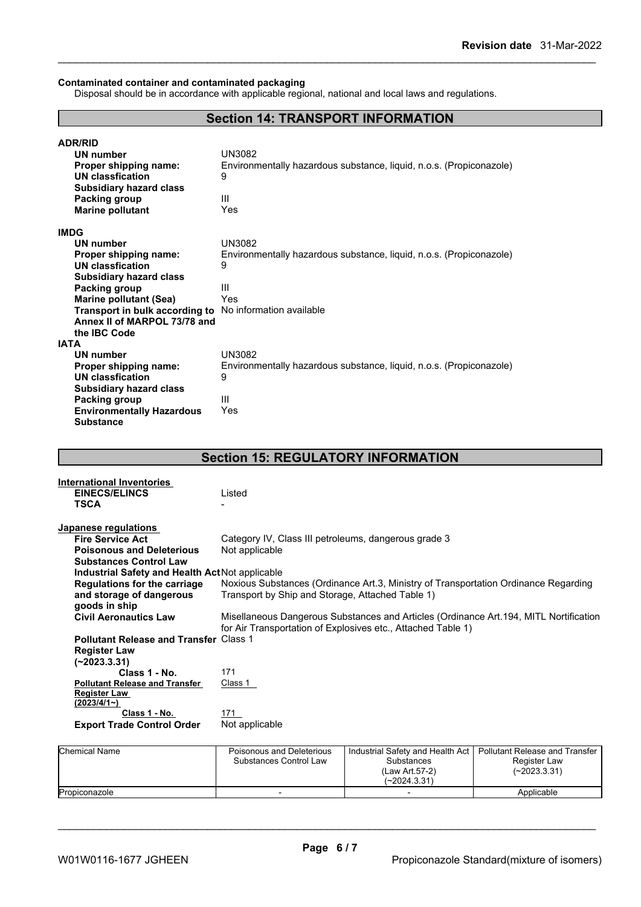#### **Contaminated container and contaminated packaging**

Disposal should be in accordance with applicable regional, national and local laws and regulations.

## **Section 14: TRANSPORT INFORMATION**

| <b>ADR/RID</b>                   |                                                                     |
|----------------------------------|---------------------------------------------------------------------|
| <b>UN number</b>                 | UN3082                                                              |
| Proper shipping name:            | Environmentally hazardous substance, liquid, n.o.s. (Propiconazole) |
| UN classfication                 | 9                                                                   |
| <b>Subsidiary hazard class</b>   |                                                                     |
| <b>Packing group</b>             | Ш                                                                   |
| <b>Marine pollutant</b>          | Yes                                                                 |
| <b>IMDG</b>                      |                                                                     |
| <b>UN number</b>                 | UN3082                                                              |
| Proper shipping name:            | Environmentally hazardous substance, liquid, n.o.s. (Propiconazole) |
| UN classfication                 | 9                                                                   |
| <b>Subsidiary hazard class</b>   |                                                                     |
| Packing group                    | Ш                                                                   |
| <b>Marine pollutant (Sea)</b>    | Yes                                                                 |
| Transport in bulk according to   | No information available                                            |
| Annex II of MARPOL 73/78 and     |                                                                     |
| the IBC Code                     |                                                                     |
| IATA                             |                                                                     |
| UN number                        | UN3082                                                              |
| Proper shipping name:            | Environmentally hazardous substance, liquid, n.o.s. (Propiconazole) |
| <b>UN classfication</b>          | 9                                                                   |
| <b>Subsidiary hazard class</b>   |                                                                     |
| Packing group                    | Ш                                                                   |
| <b>Environmentally Hazardous</b> | Yes                                                                 |
| <b>Substance</b>                 |                                                                     |

## **Section 15: REGULATORY INFORMATION**

| <b>International Inventories</b>                |                                                                                        |
|-------------------------------------------------|----------------------------------------------------------------------------------------|
| <b>EINECS/ELINCS</b>                            | Listed                                                                                 |
| TSCA                                            |                                                                                        |
|                                                 |                                                                                        |
| Japanese regulations                            |                                                                                        |
| <b>Fire Service Act</b>                         | Category IV, Class III petroleums, dangerous grade 3                                   |
| <b>Poisonous and Deleterious</b>                | Not applicable                                                                         |
| <b>Substances Control Law</b>                   |                                                                                        |
| Industrial Safety and Health Act Not applicable |                                                                                        |
| Regulations for the carriage                    | Noxious Substances (Ordinance Art.3, Ministry of Transportation Ordinance Regarding    |
| and storage of dangerous                        | Transport by Ship and Storage, Attached Table 1)                                       |
| goods in ship                                   |                                                                                        |
| <b>Civil Aeronautics Law</b>                    | Misellaneous Dangerous Substances and Articles (Ordinance Art. 194, MITL Nortification |
|                                                 | for Air Transportation of Explosives etc., Attached Table 1)                           |
| <b>Pollutant Release and Transfer Class 1</b>   |                                                                                        |
| <b>Register Law</b>                             |                                                                                        |
| (~2023.3.31)                                    |                                                                                        |
| Class 1 - No.                                   | 171                                                                                    |
| <b>Pollutant Release and Transfer</b>           | Class 1                                                                                |
| <b>Register Law</b>                             |                                                                                        |
| (2023/4/1)                                      |                                                                                        |
| Class 1 - No.                                   | 171                                                                                    |
| <b>Export Trade Control Order</b>               | Not applicable                                                                         |
|                                                 |                                                                                        |

| <b>Chemical Name</b> | Poisonous and Deleterious<br>Substances Control Law | Industrial Safety and Health Act  <br>Substances<br>(Law Art 57-2)<br>$(-2024.3.31)$ | Pollutant Release and Transfer<br>Register Law<br>$(-2023.3.31)$ |  |
|----------------------|-----------------------------------------------------|--------------------------------------------------------------------------------------|------------------------------------------------------------------|--|
| Propiconazole        |                                                     |                                                                                      | Applicable                                                       |  |